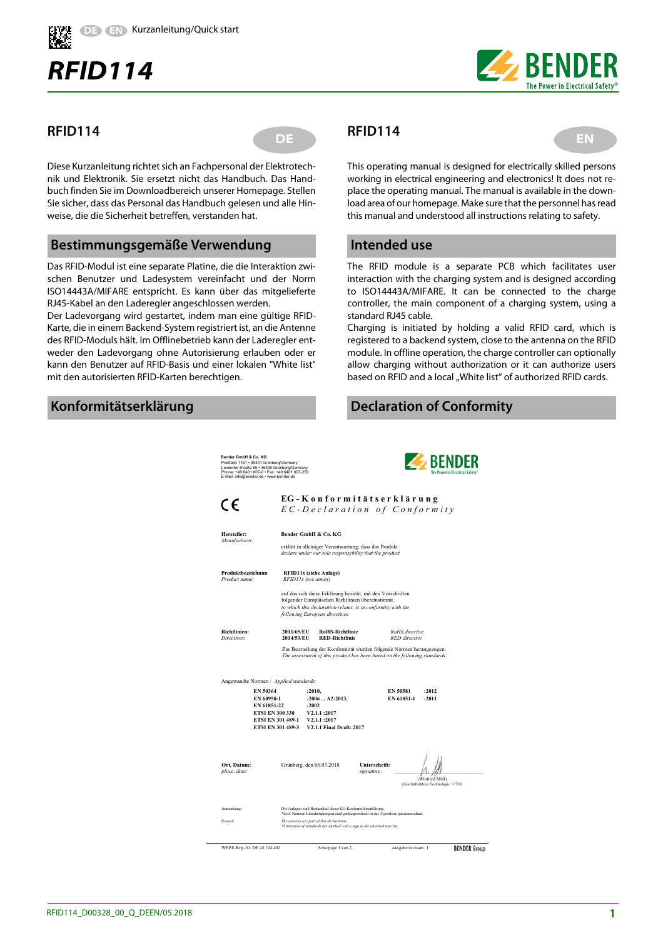

# *RFID114*



#### **RFID114**

**DE REIDITA** EN

Diese Kurzanleitung richtet sich an Fachpersonal der Elektrotechnik und Elektronik. Sie ersetzt nicht das Handbuch. Das Handbuch finden Sie im Downloadbereich unserer Homepage. Stellen Sie sicher, dass das Personal das Handbuch gelesen und alle Hinweise, die die Sicherheit betreffen, verstanden hat.

#### **Bestimmungsgemäße Verwendung**

Das RFID-Modul ist eine separate Platine, die die Interaktion zwischen Benutzer und Ladesystem vereinfacht und der Norm ISO14443A/MIFARE entspricht. Es kann über das mitgelieferte RJ45-Kabel an den Laderegler angeschlossen werden.

Der Ladevorgang wird gestartet, indem man eine gültige RFID-Karte, die in einem Backend-System registriert ist, an die Antenne des RFID-Moduls hält. Im Offlinebetrieb kann der Laderegler entweder den Ladevorgang ohne Autorisierung erlauben oder er kann den Benutzer auf RFID-Basis und einer lokalen "White list" mit den autorisierten RFID-Karten berechtigen.

## **Konformitätserklärung**

# **RFID114**

This operating manual is designed for electrically skilled persons working in electrical engineering and electronics! It does not replace the operating manual. The manual is available in the download area of our homepage. Make sure that the personnel has read this manual and understood all instructions relating to safety.

### **Intended use**

The RFID module is a separate PCB which facilitates user interaction with the charging system and is designed according to ISO14443A/MIFARE. It can be connected to the charge controller, the main component of a charging system, using a standard RJ45 cable.

Charging is initiated by holding a valid RFID card, which is registered to a backend system, close to the antenna on the RFID module. In offline operation, the charge controller can optionally allow charging without authorization or it can authorize users based on RFID and a local "White list" of authorized RFID cards.

# **Declaration of Conformity**

**EXPENDER Bender GmbH & Co. KG** Postfach 1161 • 35301 Grünberg/Germany Londorfer Straße 65 • 35305 Grünberg/Germany Phone: +49 6401 807-0 • Fax: +49 6401 807-259 E-Mail: info@bender.de • www.bender.de **EG - K o n f o r m i t ä t s e r k l ä r u n g**  $\epsilon$ *E C - D e c l a r a t i o n o f C o n f o r m i t y Manufacturer:* **Hersteller: Bender GmbH & Co. KG** erklärt in alleiniger Verantwortung, dass das Produkt *declare under our sole responsybility that the product* **Produktbezeichnun RFID11x (siehe Anlage)**<br>*Product name:* RFID11x (see annex) *Product name: RFID11x (see annex)* auf das sich diese Erklärung bezieht, mit den Vorschriften folgender Europäischen Richtlinien übereinstimmt. *to which this declaration relates, is in conformity with the following European directives.* **Richtlinien: 2011/65/EU RoHS-Richtlinie** *RoHS directive Directives:* **2014/53/EU RED-Richtlinie** *RED directive* Zur Beurteilung der Konformität wurden folgende Normen herangezogen: *The assessment of this product has been based on the following standards:* andte Normen / *Applied sta* **EN 50364 :2010, EN 50581 :2012 EN 60950-1 :2006 ... A2:2013,**<br>**EN 61951-22 :2002 EN 61851-22 :2002 ETSI EN 300 330 V2.1.1 :2017 ETSI EN 301 489-1 V2.1.1 :2017 ETSI EN 301 489-3 V2.1.1 Final Draft: 2017 Ort, Datum:** Grünberg, den 06.03.2018 **Unterschrift:** place, date: *place, date: signature: llequality signature:**llequality and the signature:* **<b>***llequality and the signature:* (Winfried Möll) (Geschäftsführer Technologie / CTO) Anmerkung: Die Anlagen sind Bestandteil dieser EG-Konformitätserklärung. \*Evtl. Normen Einschränkungen sind gerätespezifisch in der Typenliste gekennzeichnet. *Remark: The annexes are part of this declaration. \*Limitation of standards are marked with a sign in the attached type list.*  WEEE-Reg.-Nr. DE 43 124 402 Seite/page 1 von 2 **BENDER** Group